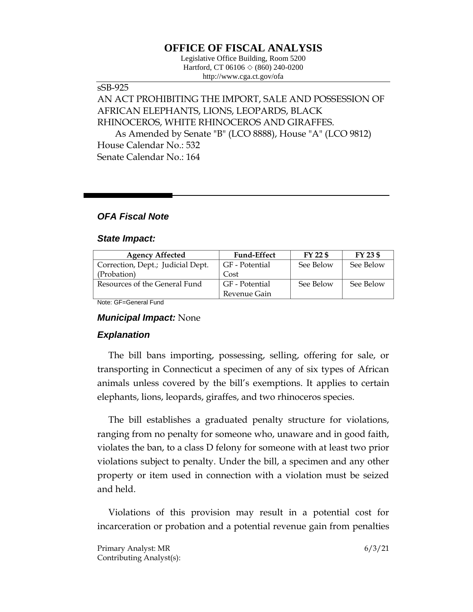# **OFFICE OF FISCAL ANALYSIS**

Legislative Office Building, Room 5200 Hartford, CT 06106 ◇ (860) 240-0200 http://www.cga.ct.gov/ofa

## sSB-925

# AN ACT PROHIBITING THE IMPORT, SALE AND POSSESSION OF AFRICAN ELEPHANTS, LIONS, LEOPARDS, BLACK RHINOCEROS, WHITE RHINOCEROS AND GIRAFFES.

As Amended by Senate "B" (LCO 8888), House "A" (LCO 9812) House Calendar No.: 532 Senate Calendar No.: 164

# *OFA Fiscal Note*

#### *State Impact:*

| <b>Agency Affected</b>            | <b>Fund-Effect</b> | $FY$ 22 \$ | $FY$ 23 \$ |
|-----------------------------------|--------------------|------------|------------|
| Correction, Dept.; Judicial Dept. | GF - Potential     | See Below  | See Below  |
| (Probation)                       | Cost               |            |            |
| Resources of the General Fund     | GF - Potential     | See Below  | See Below  |
|                                   | Revenue Gain       |            |            |

Note: GF=General Fund

## *Municipal Impact:* None

## *Explanation*

The bill bans importing, possessing, selling, offering for sale, or transporting in Connecticut a specimen of any of six types of African animals unless covered by the bill's exemptions. It applies to certain elephants, lions, leopards, giraffes, and two rhinoceros species.

The bill establishes a graduated penalty structure for violations, ranging from no penalty for someone who, unaware and in good faith, violates the ban, to a class D felony for someone with at least two prior violations subject to penalty. Under the bill, a specimen and any other property or item used in connection with a violation must be seized and held.

Violations of this provision may result in a potential cost for incarceration or probation and a potential revenue gain from penalties